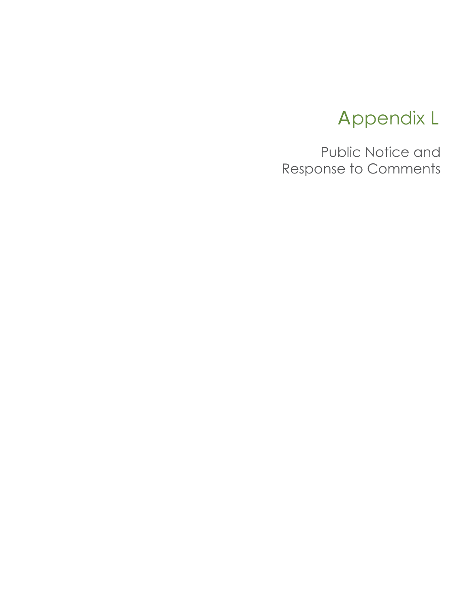# Appendix L

Public Notice and Response to Comments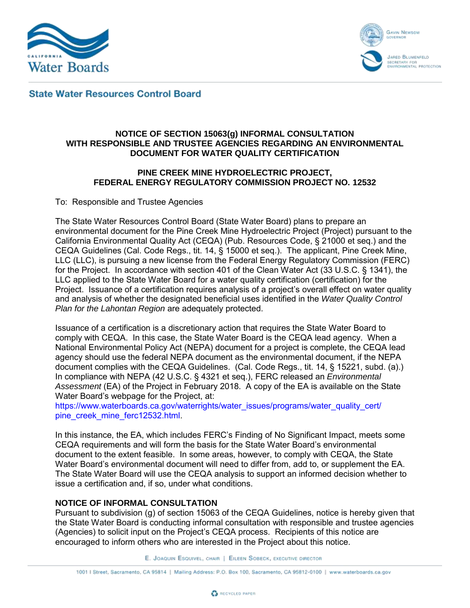



**State Water Resources Control Board** 

## **NOTICE OF SECTION 15063(g) INFORMAL CONSULTATION WITH RESPONSIBLE AND TRUSTEE AGENCIES REGARDING AN ENVIRONMENTAL DOCUMENT FOR WATER QUALITY CERTIFICATION**

### **PINE CREEK MINE HYDROELECTRIC PROJECT, FEDERAL ENERGY REGULATORY COMMISSION PROJECT NO. 12532**

To: Responsible and Trustee Agencies

The State Water Resources Control Board (State Water Board) plans to prepare an environmental document for the Pine Creek Mine Hydroelectric Project (Project) pursuant to the California Environmental Quality Act (CEQA) (Pub. Resources Code, § 21000 et seq.) and the CEQA Guidelines (Cal. Code Regs., tit. 14, § 15000 et seq.). The applicant, Pine Creek Mine, LLC (LLC), is pursuing a new license from the Federal Energy Regulatory Commission (FERC) for the Project. In accordance with section 401 of the Clean Water Act (33 U.S.C. § 1341), the LLC applied to the State Water Board for a water quality certification (certification) for the Project. Issuance of a certification requires analysis of a project's overall effect on water quality and analysis of whether the designated beneficial uses identified in the *Water Quality Control Plan for the Lahontan Region* are adequately protected.

Issuance of a certification is a discretionary action that requires the State Water Board to comply with CEQA. In this case, the State Water Board is the CEQA lead agency. When a National Environmental Policy Act (NEPA) document for a project is complete, the CEQA lead agency should use the federal NEPA document as the environmental document, if the NEPA document complies with the CEQA Guidelines. (Cal. Code Regs., tit. 14, § 15221, subd. (a).) In compliance with NEPA (42 U.S.C. § 4321 et seq.), FERC released an *Environmental Assessment* (EA) of the Project in February 2018. A copy of the EA is available on the State Water Board's [webpage](https://www.waterboards.ca.gov/waterrights/water_issues/programs/water_quality_cert/pine_creek_mine_ferc12532.html) for the Project, at:

[https://www.waterboards.ca.gov/waterrights/water\\_issues/programs/water\\_quality\\_cert/](https://www.waterboards.ca.gov/waterrights/water_issues/programs/water_quality_cert/pine_creek_mine_ferc12532.html) pine\_creek\_mine\_ferc12532.html

In this instance, the EA, which includes FERC's Finding of No Significant Impact, meets some CEQA requirements and will form the basis for the State Water Board's environmental document to the extent feasible. In some areas, however, to comply with CEQA, the State Water Board's environmental document will need to differ from, add to, or supplement the EA. The State Water Board will use the CEQA analysis to support an informed decision whether to issue a certification and, if so, under what conditions.

## **NOTICE OF INFORMAL CONSULTATION**

Pursuant to subdivision (g) of section 15063 of the CEQA Guidelines, notice is hereby given that the State Water Board is conducting informal consultation with responsible and trustee agencies (Agencies) to solicit input on the Project's CEQA process. Recipients of this notice are encouraged to inform others who are interested in the Project about this notice.

E. JOAQUIN ESQUIVEL, CHAIR | EILEEN SOBECK, EXECUTIVE DIRECTOR

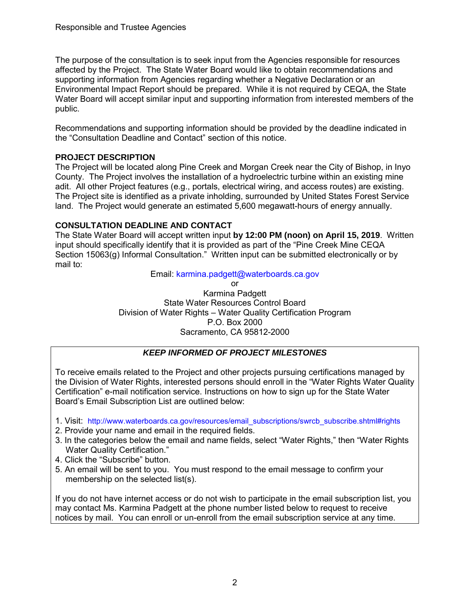The purpose of the consultation is to seek input from the Agencies responsible for resources affected by the Project. The State Water Board would like to obtain recommendations and supporting information from Agencies regarding whether a Negative Declaration or an Environmental Impact Report should be prepared. While it is not required by CEQA, the State Water Board will accept similar input and supporting information from interested members of the public.

Recommendations and supporting information should be provided by the deadline indicated in the "Consultation Deadline and Contact" section of this notice.

## **PROJECT DESCRIPTION**

The Project will be located along Pine Creek and Morgan Creek near the City of Bishop, in Inyo County. The Project involves the installation of a hydroelectric turbine within an existing mine adit. All other Project features (e.g., portals, electrical wiring, and access routes) are existing. The Project site is identified as a private inholding, surrounded by United States Forest Service land. The Project would generate an estimated 5,600 megawatt-hours of energy annually.

## **CONSULTATION DEADLINE AND CONTACT**

The State Water Board will accept written input **by 12:00 PM (noon) on April 15, 2019**. Written input should specifically identify that it is provided as part of the "Pine Creek Mine CEQA Section 15063(g) Informal Consultation." Written input can be submitted electronically or by mail to:

Email: [karmina.padgett@waterboards.ca.gov](mailto:karmina.padgett@waterboards.ca.gov)

or Karmina Padgett State Water Resources Control Board Division of Water Rights – Water Quality Certification Program

#### P.O. Box 2000 Sacramento, CA 95812-2000

## *KEEP INFORMED OF PROJECT MILESTONES*

To receive emails related to the Project and other projects pursuing certifications managed by the Division of Water Rights, interested persons should enroll in the "Water Rights Water Quality Certification" e-mail notification service. Instructions on how to sign up for the State Water Board's Email Subscription List are outlined below:

- 1. Visit: [http://www.waterboards.ca.gov/resources/email\\_subscriptions/swrcb\\_subscribe.shtml#rights](http://www.waterboards.ca.gov/resources/email_subscriptions/swrcb_subscribe.shtml#rights)
- 2. Provide your name and email in the required fields.
- 3. In the categories below the email and name fields, select "Water Rights," then "Water Rights Water Quality Certification."
- 4. Click the "Subscribe" button.
- 5. An email will be sent to you. You must respond to the email message to confirm your membership on the selected list(s).

If you do not have internet access or do not wish to participate in the email subscription list, you may contact Ms. Karmina Padgett at the phone number listed below to request to receive notices by mail. You can enroll or un-enroll from the email subscription service at any time.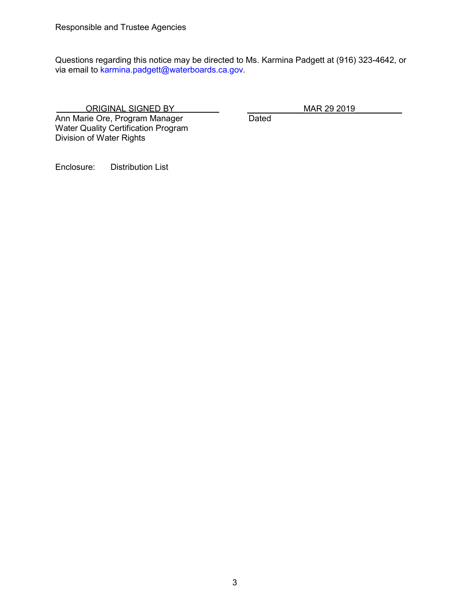Questions regarding this notice may be directed to Ms. Karmina Padgett at (916) 323-4642, or via email to karmina.padgett@waterboards.ca.gov.

 ORIGINAL SIGNED BY \_\_\_\_\_\_\_\_\_\_\_\_MAR 29 2019\_\_\_\_\_\_\_\_\_\_ Ann Marie Ore, Program Manager Water Quality Certification Program Division of Water Rights

Enclosure: Distribution List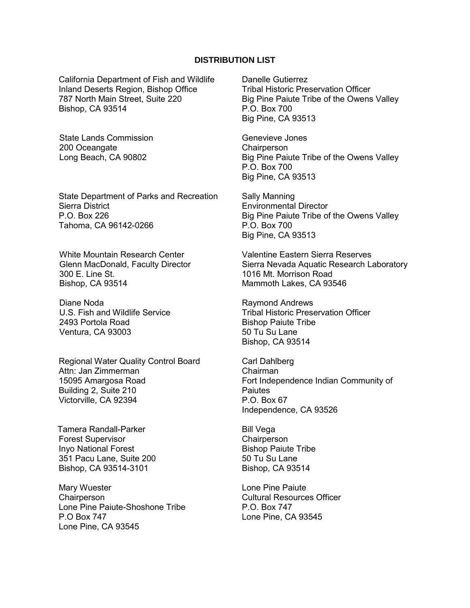#### **DISTRIBUTION LIST**

California Department of Fish and Wildlife Inland Deserts Region, Bishop Office 787 North Main Street, Suite 220 Bishop, CA 93514

State Lands Commission 200 Oceangate Long Beach, CA 90802

State Department of Parks and Recreation Sierra District P.O. Box 226 Tahoma, CA 96142-0266

White Mountain Research Center Glenn MacDonald, Faculty Director 300 E. Line St. Bishop, CA 93514

Diane Noda U.S. Fish and Wildlife Service 2493 Portola Road Ventura, CA 93003

Regional Water Quality Control Board Attn: Jan Zimmerman 15095 Amargosa Road Building 2, Suite 210 Victorville, CA 92394

Tamera Randall-Parker Forest Supervisor Inyo National Forest 351 Pacu Lane, Suite 200 Bishop, CA 93514-3101

Mary Wuester **Chairperson** Lone Pine Paiute-Shoshone Tribe P.O Box 747 Lone Pine, CA 93545

Danelle Gutierrez Tribal Historic Preservation Officer Big Pine Paiute Tribe of the Owens Valley P.O. Box 700 Big Pine, CA 93513

Genevieve Jones **Chairperson** Big Pine Paiute Tribe of the Owens Valley P.O. Box 700 Big Pine, CA 93513

Sally Manning Environmental Director Big Pine Paiute Tribe of the Owens Valley P.O. Box 700 Big Pine, CA 93513

Valentine Eastern Sierra Reserves Sierra Nevada Aquatic Research Laboratory 1016 Mt. Morrison Road Mammoth Lakes, CA 93546

Raymond Andrews Tribal Historic Preservation Officer Bishop Paiute Tribe 50 Tu Su Lane Bishop, CA 93514

Carl Dahlberg Chairman Fort Independence Indian Community of **Paiutes** P.O. Box 67 Independence, CA 93526

Bill Vega **Chairperson** Bishop Paiute Tribe 50 Tu Su Lane Bishop, CA 93514

Lone Pine Paiute Cultural Resources Officer P.O. Box 747 Lone Pine, CA 93545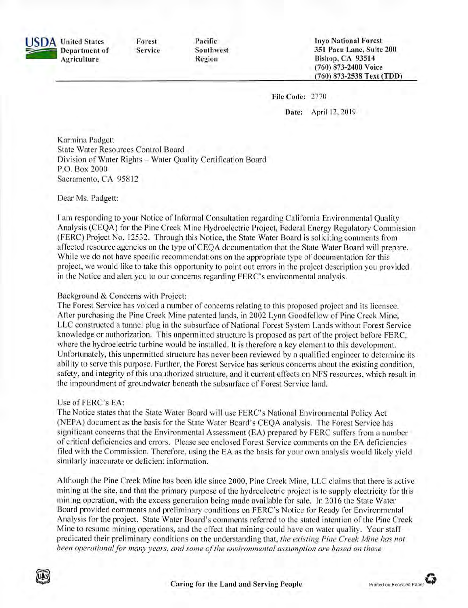**SDA** United States Forest Pacific **Invo National Forest** 351 Pacu Lane, Suite 200 Southwest **Department of** Service **Bishop, CA 93514** Agriculture Region (760) 873-2400 Voice (760) 873-2538 Text (TDD)

File Code: 2770

Date: April 12, 2019

Karmina Padgett **State Water Resources Control Board** Division of Water Rights - Water Quality Certification Board P.O. Box 2000 Sacramento, CA 95812

Dear Ms. Padgett:

I am responding to your Notice of Informal Consultation regarding California Environmental Quality Analysis (CEQA) for the Pine Creek Mine Hydroelectric Project, Federal Energy Regulatory Commission (FERC) Project No. 12532. Through this Notice, the State Water Board is soliciting comments from affected resource agencies on the type of CEQA documentation that the State Water Board will prepare. While we do not have specific recommendations on the appropriate type of documentation for this project, we would like to take this opportunity to point out errors in the project description you provided in the Notice and alert you to our concerns regarding FERC's environmental analysis.

#### Background & Concerns with Project:

The Forest Service has voiced a number of concerns relating to this proposed project and its licensee. After purchasing the Pine Creek Mine patented lands, in 2002 Lynn Goodfellow of Pine Creek Mine, LLC constructed a tunnel plug in the subsurface of National Forest System Lands without Forest Service knowledge or authorization. This unpermitted structure is proposed as part of the project before FERC, where the hydroelectric turbine would be installed. It is therefore a key element to this development. Unfortunately, this unpermitted structure has never been reviewed by a qualified engineer to determine its ability to serve this purpose. Further, the Forest Service has serious concerns about the existing condition, safety, and integrity of this unauthorized structure, and it current effects on NFS resources, which result in the impoundment of groundwater beneath the subsurface of Forest Service land.

#### Use of FERC's EA:

The Notice states that the State Water Board will use FERC's National Environmental Policy Act (NEPA) document as the basis for the State Water Board's CEOA analysis. The Forest Service has significant concerns that the Environmental Assessment (EA) prepared by FERC suffers from a number of critical deficiencies and errors. Please see enclosed Forest Service comments on the EA deficiencies filed with the Commission. Therefore, using the EA as the basis for your own analysis would likely yield similarly inaccurate or deficient information.

Although the Pine Creek Mine has been idle since 2000, Pine Creek Mine, LLC claims that there is active mining at the site, and that the primary purpose of the hydroelectric project is to supply electricity for this mining operation, with the excess generation being made available for sale. In 2016 the State Water Board provided comments and preliminary conditions on FERC's Notice for Ready for Environmental Analysis for the project. State Water Board's comments referred to the stated intention of the Pine Creek Mine to resume mining operations, and the effect that mining could have on water quality. Your staff predicated their preliminary conditions on the understanding that, the existing Pine Creek Mine has not been operational for many years, and some of the environmental assumption are based on those

Printed on Recycled Pape